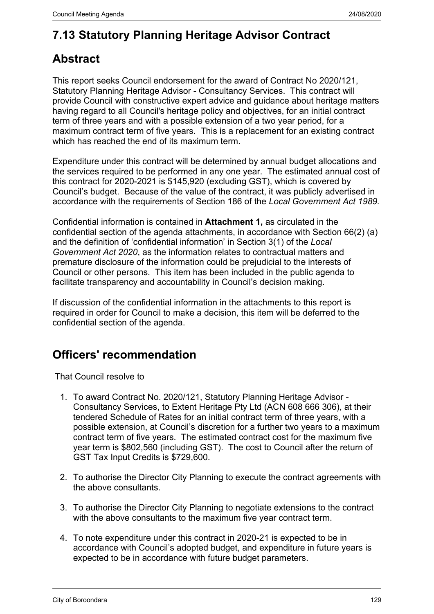# **7.13 Statutory Planning Heritage Advisor Contract**

# **Abstract**

This report seeks Council endorsement for the award of Contract No 2020/121, Statutory Planning Heritage Advisor - Consultancy Services. This contract will provide Council with constructive expert advice and guidance about heritage matters having regard to all Council's heritage policy and objectives, for an initial contract term of three years and with a possible extension of a two year period, for a maximum contract term of five years. This is a replacement for an existing contract which has reached the end of its maximum term.

Expenditure under this contract will be determined by annual budget allocations and the services required to be performed in any one year. The estimated annual cost of this contract for 2020-2021 is \$145,920 (excluding GST), which is covered by Council's budget. Because of the value of the contract, it was publicly advertised in accordance with the requirements of Section 186 of the *Local Government Act 1989.*

Confidential information is contained in **Attachment 1,** as circulated in the confidential section of the agenda attachments, in accordance with Section 66(2) (a) and the definition of 'confidential information' in Section 3(1) of the *Local Government Act 2020*, as the information relates to contractual matters and premature disclosure of the information could be prejudicial to the interests of Council or other persons. This item has been included in the public agenda to facilitate transparency and accountability in Council's decision making.

If discussion of the confidential information in the attachments to this report is required in order for Council to make a decision, this item will be deferred to the confidential section of the agenda.

# **Officers' recommendation**

That Council resolve to

- 1. To award Contract No. 2020/121, Statutory Planning Heritage Advisor Consultancy Services, to Extent Heritage Pty Ltd (ACN 608 666 306), at their tendered Schedule of Rates for an initial contract term of three years, with a possible extension, at Council's discretion for a further two years to a maximum contract term of five years. The estimated contract cost for the maximum five year term is \$802,560 (including GST). The cost to Council after the return of GST Tax Input Credits is \$729,600.
- 2. To authorise the Director City Planning to execute the contract agreements with the above consultants.
- 3. To authorise the Director City Planning to negotiate extensions to the contract with the above consultants to the maximum five year contract term.
- 4. To note expenditure under this contract in 2020-21 is expected to be in accordance with Council's adopted budget, and expenditure in future years is expected to be in accordance with future budget parameters.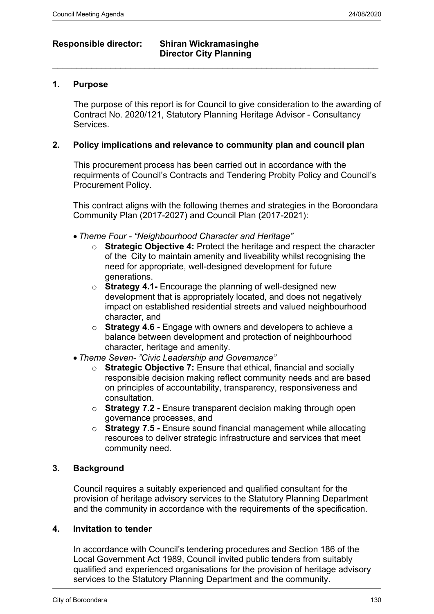# **Responsible director: Shiran Wickramasinghe Director City Planning**  $\_$  , and the set of the set of the set of the set of the set of the set of the set of the set of the set of the set of the set of the set of the set of the set of the set of the set of the set of the set of the set of th

# **1. Purpose**

The purpose of this report is for Council to give consideration to the awarding of Contract No. 2020/121, Statutory Planning Heritage Advisor - Consultancy Services.

# **2. Policy implications and relevance to community plan and council plan**

This procurement process has been carried out in accordance with the requirments of Council's Contracts and Tendering Probity Policy and Council's Procurement Policy.

This contract aligns with the following themes and strategies in the Boroondara Community Plan (2017-2027) and Council Plan (2017-2021):

- *Theme Four "Neighbourhood Character and Heritage"*
	- o **Strategic Objective 4:** Protect the heritage and respect the character of the City to maintain amenity and liveability whilst recognising the need for appropriate, well-designed development for future generations.
	- o **Strategy 4.1-** Encourage the planning of well-designed new development that is appropriately located, and does not negatively impact on established residential streets and valued neighbourhood character, and
	- o **Strategy 4.6 -** Engage with owners and developers to achieve a balance between development and protection of neighbourhood character, heritage and amenity.
- *Theme Seven- "Civic Leadership and Governance"*
	- o **Strategic Objective 7:** Ensure that ethical, financial and socially responsible decision making reflect community needs and are based on principles of accountability, transparency, responsiveness and consultation.
	- o **Strategy 7.2** Ensure transparent decision making through open governance processes, and
	- o **Strategy 7.5 -** Ensure sound financial management while allocating resources to deliver strategic infrastructure and services that meet community need.

## **3. Background**

Council requires a suitably experienced and qualified consultant for the provision of heritage advisory services to the Statutory Planning Department and the community in accordance with the requirements of the specification.

#### **4. Invitation to tender**

In accordance with Council's tendering procedures and Section 186 of the Local Government Act 1989, Council invited public tenders from suitably qualified and experienced organisations for the provision of heritage advisory services to the Statutory Planning Department and the community.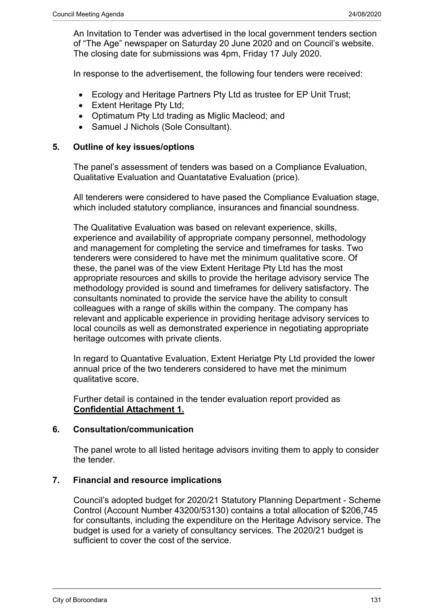An Invitation to Tender was advertised in the local government tenders section of "The Age" newspaper on Saturday 20 June 2020 and on Council's website. The closing date for submissions was 4pm, Friday 17 July 2020.

In response to the advertisement, the following four tenders were received:

- Ecology and Heritage Partners Pty Ltd as trustee for EP Unit Trust;
- Extent Heritage Pty Ltd:
- Optimatum Pty Ltd trading as Miglic Macleod; and
- Samuel J Nichols (Sole Consultant).

## **5. Outline of key issues/options**

The panel's assessment of tenders was based on a Compliance Evaluation, Qualitative Evaluation and Quantatative Evaluation (price).

All tenderers were considered to have pased the Compliance Evaluation stage, which included statutory compliance, insurances and financial soundness.

The Qualitative Evaluation was based on relevant experience, skills, experience and availability of appropriate company personnel, methodology and management for completing the service and timeframes for tasks. Two tenderers were considered to have met the minimum qualitative score. Of these, the panel was of the view Extent Heritage Pty Ltd has the most appropriate resources and skills to provide the heritage advisory service The methodology provided is sound and timeframes for delivery satisfactory. The consultants nominated to provide the service have the ability to consult colleagues with a range of skills within the company. The company has relevant and applicable experience in providing heritage advisory services to local councils as well as demonstrated experience in negotiating appropriate heritage outcomes with private clients.

In regard to Quantative Evaluation, Extent Heriatge Pty Ltd provided the lower annual price of the two tenderers considered to have met the minimum qualitative score.

Further detail is contained in the tender evaluation report provided as **Confidential Attachment 1.**

# **6. Consultation/communication**

The panel wrote to all listed heritage advisors inviting them to apply to consider the tender.

### **7. Financial and resource implications**

Council's adopted budget for 2020/21 Statutory Planning Department - Scheme Control (Account Number 43200/53130) contains a total allocation of \$206,745 for consultants, including the expenditure on the Heritage Advisory service. The budget is used for a variety of consultancy services. The 2020/21 budget is sufficient to cover the cost of the service.